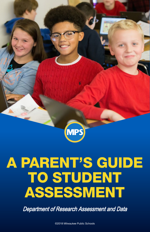

# A PARENT'S GUIDE TO STUDENT ASSESSMENT

Department of Research Assessment and Data

©2018 Milwaukee Public Schools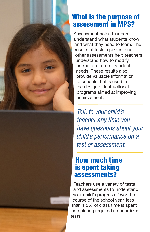

#### What is the purpose of assessment in MPS?

Assessment helps teachers understand what students know and what they need to learn. The results of tests, quizzes, and other assessments help teachers understand how to modify instruction to meet student needs. These results also provide valuable information to schools that is used in the design of instructional programs aimed at improving achievement.

*Talk to your child's teacher any time you have questions about your child's performance on a test or assessment.* 

#### How much time is spent taking assessments?

Teachers use a variety of tests and assessments to understand your child's progress. Over the course of the school year, less than 1.5% of class time is spent completing required standardized tests.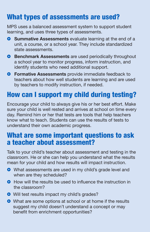# What types of assessments are used?

MPS uses a balanced assessment system to support student learning, and uses three types of assessments.

- **C** Summative Assessments evaluate learning at the end of a unit, a course, or a school year. They include standardized state assessments.
- **C** Benchmark Assessments are used periodically throughout a school year to monitor progress, inform instruction, and identify students who need additional support.
- **] Formative Assessments** provide immediate feedback to teachers about how well students are learning and are used by teachers to modify instruction, if needed.

# How can I support my child during testing?

Encourage your child to always give his or her best effort. Make sure your child is well rested and arrives at school on time every day. Remind him or her that tests are tools that help teachers know what to teach. Students can use the results of tests to understand their own academic progress.

### What are some important questions to ask a teacher about assessment?

Talk to your child's teacher about assessment and testing in the classroom. He or she can help you understand what the results mean for your child and how results will impact instruction.

- **]** What assessments are used in my child's grade level and when are they scheduled?
- **How will the results be used to influence the instruction in** the classroom?
- **•** Will test results impact my child's grades?
- **]** What are some options at school or at home if the results suggest my child doesn't understand a concept or may benefit from enrichment opportunities?